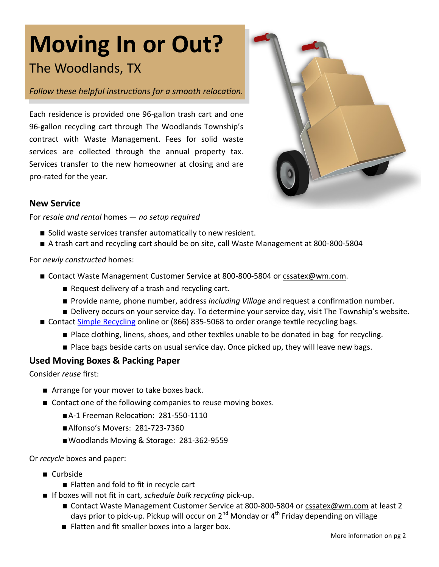# **Moving In or Out?** The Woodlands, TX

### *Follow these helpful instructions for a smooth relocation.*

Each residence is provided one 96-gallon trash cart and one 96-gallon recycling cart through The Woodlands Township's contract with Waste Management. Fees for solid waste services are collected through the annual property tax. Services transfer to the new homeowner at closing and are pro-rated for the year.



#### **New Service**

#### For *resale and rental* homes *— no setup required*

- Solid waste services transfer automatically to new resident.
- A trash cart and recycling cart should be on site, call Waste Management at 800-800-5804

#### For *newly constructed* homes:

- Contact Waste Management Customer Service at 800-800-5804 or cssatex@wm.com.
	- Request delivery of a trash and recycling cart.
	- Provide name, phone number, address *including Village* and request a confirmation number.
	- **Delivery occurs on your service day. To determine your service day, visit The Township's website.**
- Contact [Simple Recycling](http://simplerecycling.com/) online or (866) 835-5068 to order orange textile recycling bags.
	- Place clothing, linens, shoes, and other textiles unable to be donated in bag for recycling.
	- Place bags beside carts on usual service day. Once picked up, they will leave new bags.

# **Used Moving Boxes & Packing Paper**

Consider *reuse* first:

- Arrange for your mover to take boxes back.
- Contact one of the following companies to reuse moving boxes.
	- A-1 Freeman Relocation: 281-550-1110
	- Alfonso's Movers: 281-723-7360
	- Woodlands Moving & Storage: 281-362-9559

Or *recycle* boxes and paper:

- Curbside
	- Flatten and fold to fit in recycle cart
- If boxes will not fit in cart, *schedule bulk recycling* pick-up.
	- Contact Waste Management Customer Service at 800-800-5804 or [cssatex@wm.com](mailto:cssatex@wm.com) at least 2 days prior to pick-up. Pickup will occur on  $2^{nd}$  Monday or  $4^{th}$  Friday depending on village
	- Flatten and fit smaller boxes into a larger box.